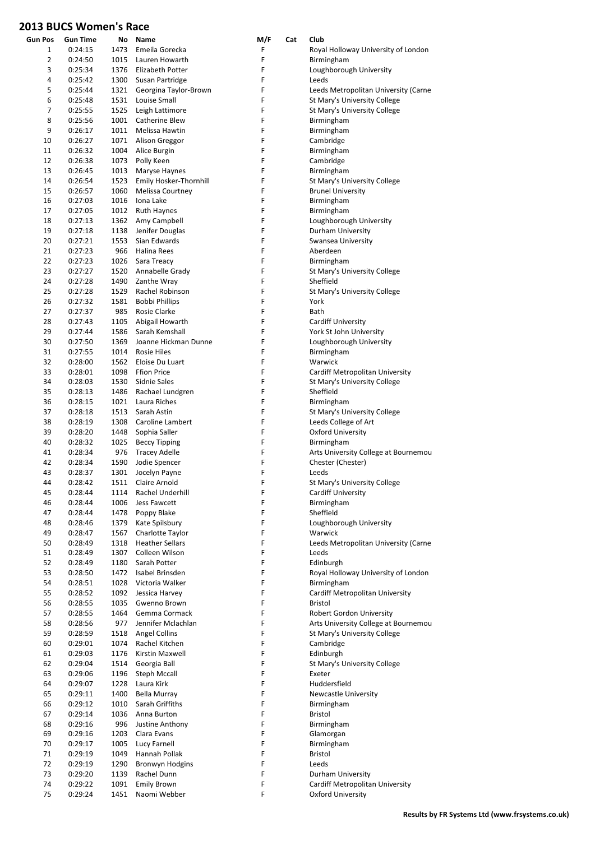| <b>Gun Pos</b> | <b>Gun Time</b>    |              | No Name                                    | M/F    | Cat | Club                                               |
|----------------|--------------------|--------------|--------------------------------------------|--------|-----|----------------------------------------------------|
| $\mathbf{1}$   | 0:24:15            | 1473         | Emeila Gorecka                             | F      |     | Royal Holloway University of London                |
| $\overline{2}$ | 0:24:50            |              | 1015 Lauren Howarth                        | F      |     | Birmingham                                         |
| 3              | 0:25:34            |              | 1376 Elizabeth Potter                      | F      |     | Loughborough University                            |
| 4              | 0:25:42            |              | 1300 Susan Partridge                       | F      |     | Leeds                                              |
| 5              | 0:25:44            |              | 1321 Georgina Taylor-Brown                 | F      |     | Leeds Metropolitan University (Carne               |
| 6              | 0:25:48            |              | 1531 Louise Small                          | F      |     | St Mary's University College                       |
| 7              | 0:25:55            |              | 1525 Leigh Lattimore                       | F      |     | St Mary's University College                       |
| 8<br>9         | 0:25:56<br>0:26:17 |              | 1001 Catherine Blew<br>1011 Melissa Hawtin | F<br>F |     | Birmingham<br>Birmingham                           |
| 10             | 0:26:27            |              | 1071 Alison Greggor                        | F      |     | Cambridge                                          |
| 11             | 0:26:32            |              | 1004 Alice Burgin                          | F      |     | Birmingham                                         |
| 12             | 0:26:38            |              | 1073 Polly Keen                            | F      |     | Cambridge                                          |
| 13             | 0:26:45            |              | 1013 Maryse Haynes                         | F      |     | Birmingham                                         |
| 14             | 0:26:54            |              | 1523 Emily Hosker-Thornhill                | F      |     | St Mary's University College                       |
| 15             | 0:26:57            | 1060         | Melissa Courtney                           | F      |     | <b>Brunel University</b>                           |
| 16             | 0:27:03            |              | 1016 Iona Lake                             | F      |     | Birmingham                                         |
| 17             | 0:27:05            |              | 1012 Ruth Haynes                           | F      |     | Birmingham                                         |
| 18             | 0:27:13            |              | 1362 Amy Campbell                          | F      |     | Loughborough University                            |
| 19             | 0:27:18            |              | 1138 Jenifer Douglas                       | F      |     | Durham University                                  |
| 20             | 0:27:21            | 1553         | Sian Edwards                               | F      |     | Swansea University                                 |
| 21<br>22       | 0:27:23            |              | 966 Halina Rees                            | F<br>F |     | Aberdeen<br>Birmingham                             |
| 23             | 0:27:23<br>0:27:27 |              | 1026 Sara Treacy<br>1520 Annabelle Grady   | F      |     | St Mary's University College                       |
| 24             | 0:27:28            |              | 1490 Zanthe Wray                           | F      |     | Sheffield                                          |
| 25             | 0:27:28            | 1529         | Rachel Robinson                            | F      |     | St Mary's University College                       |
| 26             | 0:27:32            | 1581         | Bobbi Phillips                             | F      |     | York                                               |
| 27             | 0:27:37            | 985          | Rosie Clarke                               | F      |     | Bath                                               |
| 28             | 0:27:43            | 1105         | Abigail Howarth                            | F      |     | Cardiff University                                 |
| 29             | 0:27:44            | 1586         | Sarah Kemshall                             | F      |     | York St John University                            |
| 30             | 0:27:50            | 1369         | Joanne Hickman Dunne                       | F      |     | Loughborough University                            |
| 31             | 0:27:55            | 1014         | <b>Rosie Hiles</b>                         | F      |     | Birmingham                                         |
| 32             | 0:28:00            | 1562         | Eloise Du Luart                            | F      |     | Warwick                                            |
| 33             | 0:28:01            | 1098         | Ffion Price                                | F      |     | Cardiff Metropolitan University                    |
| 34             | 0:28:03            | 1530         | Sidnie Sales                               | F      |     | St Mary's University College                       |
| 35             | 0:28:13            | 1486         | Rachael Lundgren                           | F      |     | Sheffield                                          |
| 36             | 0:28:15            | 1021         | Laura Riches                               | F      |     | Birmingham                                         |
| 37             | 0:28:18            | 1513         | Sarah Astin                                | F      |     | St Mary's University College                       |
| 38             | 0:28:19            |              | 1308 Caroline Lambert                      | F      |     | Leeds College of Art                               |
| 39             | 0:28:20            |              | 1448 Sophia Saller                         | F      |     | <b>Oxford University</b>                           |
| 40<br>41       | 0:28:32<br>0:28:34 | 976          | 1025 Beccy Tipping<br><b>Tracey Adelle</b> | F<br>F |     | Birmingham<br>Arts University College at Bournemou |
| 42             | 0:28:34            | 1590         | Jodie Spencer                              | F      |     | Chester (Chester)                                  |
| 43             | 0:28:37            | 1301         | Jocelyn Payne                              | F      |     | Leeds                                              |
| 44             | 0:28:42            | 1511         | Claire Arnold                              | F      |     | St Mary's University College                       |
| 45             | 0:28:44            | 1114         | Rachel Underhill                           | F      |     | <b>Cardiff University</b>                          |
| 46             | 0:28:44            | 1006         | Jess Fawcett                               | F      |     | Birmingham                                         |
| 47             | 0:28:44            | 1478         | Poppy Blake                                | F      |     | Sheffield                                          |
| 48             | 0:28:46            | 1379         | Kate Spilsbury                             | F      |     | Loughborough University                            |
| 49             | 0:28:47            | 1567         | Charlotte Taylor                           | F      |     | Warwick                                            |
| 50             | 0:28:49            | 1318         | <b>Heather Sellars</b>                     | F      |     | Leeds Metropolitan University (Carne               |
| 51             | 0:28:49            | 1307         | Colleen Wilson                             | F      |     | Leeds                                              |
| 52             | 0:28:49            | 1180         | Sarah Potter                               | F      |     | Edinburgh                                          |
| 53             | 0:28:50            | 1472         | Isabel Brinsden                            | F      |     | Royal Holloway University of London                |
| 54<br>55       | 0:28:51            | 1028         | Victoria Walker                            | F<br>F |     | Birmingham                                         |
| 56             | 0:28:52<br>0:28:55 | 1092<br>1035 | Jessica Harvey<br>Gwenno Brown             | F      |     | Cardiff Metropolitan University<br>Bristol         |
| 57             | 0:28:55            | 1464         | Gemma Cormack                              | F      |     | Robert Gordon University                           |
| 58             | 0:28:56            | 977          | Jennifer Mclachlan                         | F      |     | Arts University College at Bournemou               |
| 59             | 0:28:59            | 1518         | <b>Angel Collins</b>                       | F      |     | St Mary's University College                       |
| 60             | 0:29:01            | 1074         | Rachel Kitchen                             | F      |     | Cambridge                                          |
| 61             | 0:29:03            | 1176         | Kirstin Maxwell                            | F      |     | Edinburgh                                          |
| 62             | 0:29:04            | 1514         | Georgia Ball                               | F      |     | St Mary's University College                       |
| 63             | 0:29:06            | 1196         | <b>Steph Mccall</b>                        | F      |     | Exeter                                             |
| 64             | 0:29:07            | 1228         | Laura Kirk                                 | F      |     | Huddersfield                                       |
| 65             | 0:29:11            | 1400         | Bella Murray                               | F      |     | <b>Newcastle University</b>                        |
| 66             | 0:29:12            | 1010         | Sarah Griffiths                            | F      |     | Birmingham                                         |
| 67             | 0:29:14            | 1036         | Anna Burton                                | F      |     | Bristol                                            |
| 68<br>69       | 0:29:16<br>0:29:16 | 996<br>1203  | Justine Anthony<br>Clara Evans             | F<br>F |     | Birmingham<br>Glamorgan                            |
| 70             | 0:29:17            | 1005         | Lucy Farnell                               | F      |     | Birmingham                                         |
| 71             | 0:29:19            | 1049         | Hannah Pollak                              | F      |     | Bristol                                            |
| 72             | 0:29:19            | 1290         | Bronwyn Hodgins                            | F      |     | Leeds                                              |
| 73             | 0:29:20            | 1139         | Rachel Dunn                                | F      |     | Durham University                                  |
| 74             | 0:29:22            | 1091         | <b>Emily Brown</b>                         | F      |     | Cardiff Metropolitan University                    |
| 75             | 0:29:24            | 1451         | Naomi Webber                               | F      |     | <b>Oxford University</b>                           |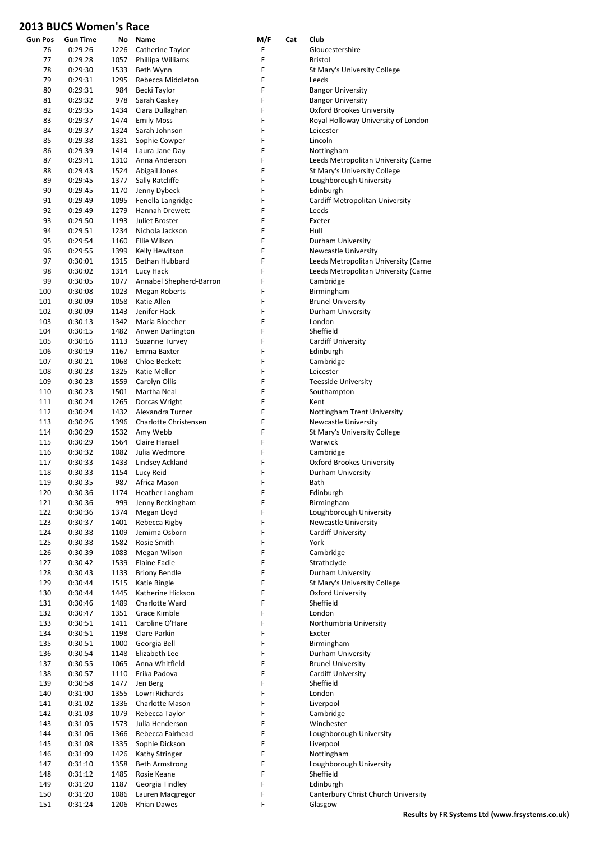| <b>Gun Pos</b> | <b>Gun Time</b> | No   | Name                    | M/F | Cat | Club                                 |
|----------------|-----------------|------|-------------------------|-----|-----|--------------------------------------|
| 76             | 0:29:26         | 1226 | Catherine Taylor        | F   |     | Gloucestershire                      |
| 77             | 0:29:28         | 1057 | Phillipa Williams       | F   |     | Bristol                              |
| 78             | 0:29:30         | 1533 | Beth Wynn               | F   |     | St Mary's University College         |
| 79             | 0:29:31         | 1295 | Rebecca Middleton       | F   |     | Leeds                                |
| 80             | 0:29:31         | 984  | Becki Taylor            | F   |     | <b>Bangor University</b>             |
| 81             | 0:29:32         | 978  | Sarah Caskey            | F   |     | <b>Bangor University</b>             |
| 82             | 0:29:35         | 1434 | Ciara Dullaghan         | F   |     | <b>Oxford Brookes University</b>     |
| 83             | 0:29:37         | 1474 | <b>Emily Moss</b>       | F   |     | Royal Holloway University of London  |
| 84             | 0:29:37         | 1324 | Sarah Johnson           | F   |     | Leicester                            |
| 85             | 0:29:38         | 1331 | Sophie Cowper           | F   |     | Lincoln                              |
| 86             | 0:29:39         | 1414 | Laura-Jane Day          | F   |     | Nottingham                           |
| 87             | 0:29:41         | 1310 | Anna Anderson           | F   |     | Leeds Metropolitan University (Carne |
| 88             | 0:29:43         | 1524 | Abigail Jones           | F   |     | St Mary's University College         |
| 89             | 0:29:45         | 1377 | Sally Ratcliffe         | F   |     | Loughborough University              |
| 90             | 0:29:45         | 1170 | Jenny Dybeck            | F   |     | Edinburgh                            |
| 91             | 0:29:49         | 1095 | Fenella Langridge       | F   |     | Cardiff Metropolitan University      |
| 92             | 0:29:49         | 1279 | Hannah Drewett          | F   |     | Leeds                                |
| 93             | 0:29:50         | 1193 | Juliet Broster          | F   |     | Exeter                               |
| 94             | 0:29:51         | 1234 | Nichola Jackson         | F   |     | Hull                                 |
| 95             | 0:29:54         | 1160 | Ellie Wilson            | F   |     | Durham University                    |
| 96             | 0:29:55         | 1399 | Kelly Hewitson          | F   |     | <b>Newcastle University</b>          |
| 97             | 0:30:01         | 1315 | <b>Bethan Hubbard</b>   | F   |     | Leeds Metropolitan University (Carne |
| 98             | 0:30:02         | 1314 | Lucy Hack               | F   |     | Leeds Metropolitan University (Carne |
| 99             | 0:30:05         | 1077 | Annabel Shepherd-Barron | F   |     | Cambridge                            |
| 100            | 0:30:08         | 1023 | <b>Megan Roberts</b>    | F   |     | Birmingham                           |
| 101            | 0:30:09         | 1058 | Katie Allen             | F   |     | <b>Brunel University</b>             |
| 102            | 0:30:09         | 1143 | Jenifer Hack            | F   |     | Durham University                    |
| 103            | 0:30:13         | 1342 | Maria Bloecher          | F   |     | London                               |
| 104            | 0:30:15         | 1482 | Anwen Darlington        | F   |     | Sheffield                            |
| 105            | 0:30:16         | 1113 | Suzanne Turvey          | F   |     | <b>Cardiff University</b>            |
| 106            | 0:30:19         | 1167 | Emma Baxter             | F   |     | Edinburgh                            |
| 107            | 0:30:21         | 1068 | Chloe Beckett           | F   |     | Cambridge                            |
| 108            | 0:30:23         | 1325 | Katie Mellor            | F   |     | Leicester                            |
| 109            | 0:30:23         | 1559 | Carolyn Ollis           | F   |     | <b>Teesside University</b>           |
| 110            | 0:30:23         | 1501 | Martha Neal             | F   |     | Southampton                          |
| 111            | 0:30:24         | 1265 | Dorcas Wright           | F   |     | Kent                                 |
| 112            | 0:30:24         | 1432 | Alexandra Turner        | F   |     | Nottingham Trent University          |
| 113            | 0:30:26         | 1396 | Charlotte Christensen   | F   |     | Newcastle University                 |
| 114            | 0:30:29         | 1532 | Amy Webb                | F   |     | St Mary's University College         |
| 115            | 0:30:29         | 1564 | Claire Hansell          | F   |     | Warwick                              |
| 116            | 0:30:32         |      | 1082 Julia Wedmore      | F   |     | Cambridge                            |
| 117            | 0:30:33         | 1433 | Lindsey Ackland         | F   |     | <b>Oxford Brookes University</b>     |
| 118            | 0:30:33         |      | 1154 Lucy Reid          | F   |     | Durham University                    |
| 119            | 0:30:35         |      | 987 Africa Mason        | F   |     | Bath                                 |
| 120            | 0:30:36         | 1174 | Heather Langham         | F   |     | Edinburgh                            |
| 121            | 0:30:36         | 999  | Jenny Beckingham        | F   |     | Birmingham                           |
| 122            | 0:30:36         | 1374 | Megan Lloyd             | F   |     | Loughborough University              |
| 123            | 0:30:37         | 1401 | Rebecca Rigby           | F   |     | <b>Newcastle University</b>          |
| 124            | 0:30:38         | 1109 | Jemima Osborn           | F   |     | <b>Cardiff University</b>            |
| 125            | 0:30:38         | 1582 | Rosie Smith             | F   |     | York                                 |
| 126            | 0:30:39         | 1083 | Megan Wilson            | F   |     | Cambridge                            |
| 127            | 0:30:42         | 1539 | Elaine Eadie            | F   |     | Strathclyde                          |
| 128            | 0:30:43         | 1133 | <b>Briony Bendle</b>    | F   |     | Durham University                    |
| 129            | 0:30:44         | 1515 | Katie Bingle            | F   |     | St Mary's University College         |
| 130            | 0:30:44         | 1445 | Katherine Hickson       | F   |     | Oxford University                    |
| 131            | 0:30:46         | 1489 | Charlotte Ward          | F   |     | Sheffield                            |
| 132            | 0:30:47         | 1351 | Grace Kimble            | F   |     | London                               |
| 133            | 0:30:51         | 1411 | Caroline O'Hare         | F   |     | Northumbria University               |
| 134            | 0:30:51         | 1198 | Clare Parkin            | F   |     | Exeter                               |
| 135            | 0:30:51         | 1000 | Georgia Bell            | F   |     | Birmingham                           |
| 136            | 0:30:54         | 1148 | Elizabeth Lee           | F   |     | Durham University                    |
| 137            | 0:30:55         | 1065 | Anna Whitfield          | F   |     | <b>Brunel University</b>             |
| 138            | 0:30:57         | 1110 | Erika Padova            | F   |     | <b>Cardiff University</b>            |
| 139            | 0:30:58         | 1477 | Jen Berg                | F   |     | Sheffield                            |
| 140            | 0:31:00         | 1355 | Lowri Richards          | F   |     | London                               |
| 141            | 0:31:02         | 1336 | Charlotte Mason         | F   |     | Liverpool                            |
| 142            | 0:31:03         | 1079 | Rebecca Taylor          | F   |     | Cambridge                            |
| 143            | 0:31:05         | 1573 | Julia Henderson         | F   |     | Winchester                           |
| 144            | 0:31:06         | 1366 | Rebecca Fairhead        | F   |     | Loughborough University              |
| 145            | 0:31:08         | 1335 | Sophie Dickson          | F   |     | Liverpool                            |
| 146            | 0:31:09         | 1426 | Kathy Stringer          | F   |     | Nottingham                           |
| 147            | 0:31:10         | 1358 | <b>Beth Armstrong</b>   | F   |     | Loughborough University              |
| 148            | 0:31:12         | 1485 | Rosie Keane             | F   |     | Sheffield                            |
| 149            | 0:31:20         | 1187 | Georgia Tindley         | F   |     | Edinburgh                            |
| 150            | 0:31:20         | 1086 | Lauren Macgregor        | F   |     | Canterbury Christ Church University  |
| 151            | 0:31:24         | 1206 | <b>Rhian Dawes</b>      | F   |     | Glasgow                              |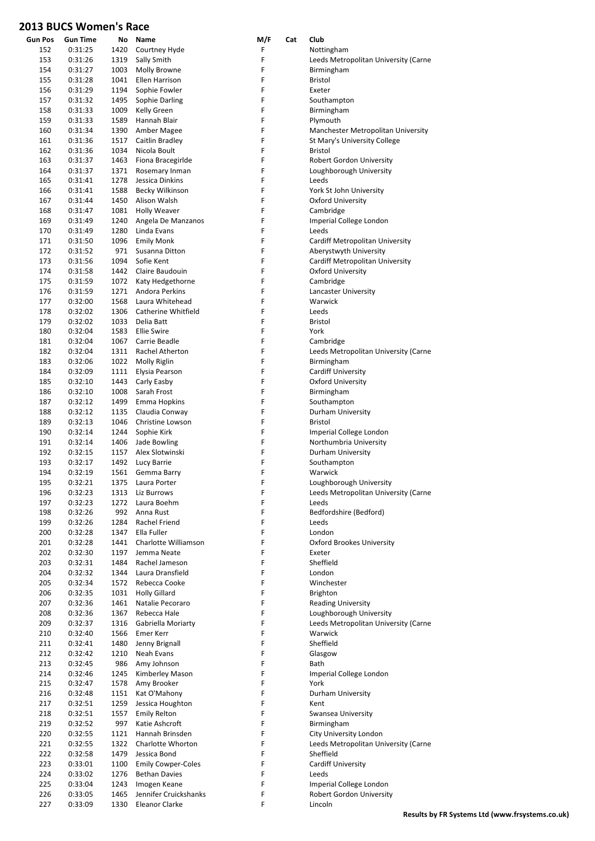| <b>Gun Pos</b> | <b>Gun Time</b>    | Νo           | Name                                  | M/F    | Cat | Club                                                |
|----------------|--------------------|--------------|---------------------------------------|--------|-----|-----------------------------------------------------|
| 152            | 0:31:25            | 1420         | Courtney Hyde                         | F      |     | Nottingham                                          |
| 153            | 0:31:26            | 1319         | Sally Smith                           | F      |     | Leeds Metropolitan University (Carne                |
| 154            | 0:31:27            | 1003         | Molly Browne                          | F      |     | Birmingham                                          |
| 155            | 0:31:28            | 1041         | Ellen Harrison                        | F      |     | <b>Bristol</b>                                      |
| 156            | 0:31:29            | 1194         | Sophie Fowler                         | F      |     | Exeter                                              |
| 157            | 0:31:32            | 1495         | Sophie Darling                        | F      |     | Southampton                                         |
| 158            | 0:31:33            | 1009         | Kelly Green                           | F      |     | Birmingham                                          |
| 159            | 0:31:33            | 1589         | Hannah Blair                          | F      |     | Plymouth                                            |
| 160            | 0:31:34            | 1390         | Amber Magee                           | F      |     | Manchester Metropolitan University                  |
| 161            | 0:31:36            | 1517         | Caitlin Bradley                       | F      |     | St Mary's University College                        |
| 162            | 0:31:36            | 1034         | Nicola Boult                          | F      |     | <b>Bristol</b>                                      |
| 163            | 0:31:37            | 1463         | Fiona Bracegirlde                     | F      |     | Robert Gordon University                            |
| 164            | 0:31:37            | 1371         | Rosemary Inman                        | F      |     | Loughborough University                             |
| 165            | 0:31:41            | 1278         | Jessica Dinkins                       | F      |     | Leeds                                               |
| 166            | 0:31:41            | 1588         | Becky Wilkinson                       | F      |     | York St John University                             |
| 167            | 0:31:44            | 1450         | Alison Walsh                          | F      |     | <b>Oxford University</b>                            |
| 168            | 0:31:47            | 1081         | <b>Holly Weaver</b>                   | F      |     | Cambridge                                           |
| 169            | 0:31:49            | 1240         | Angela De Manzanos                    | F      |     | Imperial College London                             |
| 170            | 0:31:49            | 1280         | Linda Evans                           | F      |     | Leeds                                               |
| 171            | 0:31:50            | 1096         | <b>Emily Monk</b>                     | F      |     | Cardiff Metropolitan University                     |
| 172            | 0:31:52            | 971          | Susanna Ditton                        | F      |     | Aberystwyth University                              |
| 173            | 0:31:56            | 1094         | Sofie Kent                            | F      |     | Cardiff Metropolitan University                     |
| 174            | 0:31:58            | 1442         | Claire Baudouin                       | F      |     | Oxford University                                   |
| 175            | 0:31:59            | 1072         | Katy Hedgethorne                      | F      |     | Cambridge                                           |
| 176            | 0:31:59            | 1271         | Andora Perkins                        | F      |     | Lancaster University                                |
| 177            | 0:32:00            | 1568         | Laura Whitehead                       | F      |     | Warwick                                             |
| 178            | 0:32:02            | 1306         | Catherine Whitfield                   | F      |     | Leeds                                               |
| 179            | 0:32:02            | 1033         | Delia Batt                            | F      |     | <b>Bristol</b>                                      |
| 180            | 0:32:04            | 1583         | <b>Ellie Swire</b>                    | F      |     | York                                                |
| 181            | 0:32:04            | 1067         | Carrie Beadle                         | F      |     | Cambridge                                           |
| 182            | 0:32:04            | 1311         | Rachel Atherton                       | F      |     | Leeds Metropolitan University (Carne                |
| 183            | 0:32:06            | 1022         | Molly Riglin                          | F<br>F |     | Birmingham                                          |
| 184            | 0:32:09            | 1111         | Elysia Pearson                        | F      |     | <b>Cardiff University</b>                           |
| 185<br>186     | 0:32:10            | 1443         | Carly Easby                           | F      |     | <b>Oxford University</b>                            |
| 187            | 0:32:10<br>0:32:12 | 1008<br>1499 | Sarah Frost<br>Emma Hopkins           | F      |     | Birmingham<br>Southampton                           |
| 188            | 0:32:12            | 1135         | Claudia Conway                        | F      |     | Durham University                                   |
| 189            | 0:32:13            | 1046         | Christine Lowson                      | F      |     | <b>Bristol</b>                                      |
| 190            | 0:32:14            | 1244         | Sophie Kirk                           | F      |     | Imperial College London                             |
| 191            | 0:32:14            | 1406         | Jade Bowling                          | F      |     | Northumbria University                              |
| 192            | 0:32:15            | 1157         | Alex Slotwinski                       | F      |     | Durham University                                   |
| 193            | 0:32:17            | 1492         | Lucy Barrie                           | F      |     | Southampton                                         |
| 194            | 0:32:19            | 1561         | Gemma Barry                           | F      |     | Warwick                                             |
| 195            | 0:32:21            | 1375         | Laura Porter                          | F      |     | Loughborough University                             |
| 196            | 0:32:23            | 1313         | Liz Burrows                           | F      |     | Leeds Metropolitan University (Carne                |
| 197            | 0:32:23            | 1272         | Laura Boehm                           | F      |     | Leeds                                               |
| 198            | 0:32:26            | 992          | Anna Rust                             | F      |     | Bedfordshire (Bedford)                              |
| 199            | 0:32:26            | 1284         | Rachel Friend                         | F      |     | Leeds                                               |
| 200            | 0:32:28            | 1347         | Ella Fuller                           | F      |     | London                                              |
| 201            | 0:32:28            | 1441         | Charlotte Williamson                  | F      |     | <b>Oxford Brookes University</b>                    |
| 202            | 0:32:30            | 1197         | Jemma Neate                           | F      |     | Exeter                                              |
| 203            | 0:32:31            | 1484         | Rachel Jameson                        | F      |     | Sheffield                                           |
| 204            | 0:32:32            | 1344         | Laura Dransfield                      | F      |     | London                                              |
| 205            | 0:32:34            | 1572         | Rebecca Cooke                         | F      |     | Winchester                                          |
| 206            | 0:32:35            | 1031         | <b>Holly Gillard</b>                  | F      |     | <b>Brighton</b>                                     |
| 207            | 0:32:36            | 1461         | Natalie Pecoraro                      | F      |     | <b>Reading University</b>                           |
| 208            | 0:32:36            | 1367         | Rebecca Hale                          | F      |     | Loughborough University                             |
| 209            | 0:32:37            | 1316         | Gabriella Moriarty                    | F      |     | Leeds Metropolitan University (Carne                |
| 210            | 0:32:40            | 1566         | Emer Kerr                             | F      |     | Warwick                                             |
| 211            | 0:32:41            | 1480         | Jenny Brignall                        | F      |     | Sheffield                                           |
| 212            | 0:32:42            | 1210         | Neah Evans                            | F      |     | Glasgow                                             |
| 213            | 0:32:45            | 986          | Amy Johnson                           | F      |     | Bath                                                |
| 214            | 0:32:46            | 1245         | Kimberley Mason                       | F      |     | Imperial College London                             |
| 215            | 0:32:47            | 1578         | Amy Brooker                           | F      |     | York                                                |
| 216            | 0:32:48            | 1151         | Kat O'Mahony                          | F      |     | Durham University                                   |
| 217            | 0:32:51            | 1259         | Jessica Houghton                      | F      |     | Kent                                                |
| 218            | 0:32:51            | 1557         | <b>Emily Relton</b>                   | F      |     | Swansea University                                  |
| 219            | 0:32:52            | 997          | Katie Ashcroft                        | F      |     | Birmingham                                          |
| 220            | 0:32:55            | 1121         | Hannah Brinsden                       | F      |     | City University London                              |
| 221            | 0:32:55            | 1322         | Charlotte Whorton                     | F      |     | Leeds Metropolitan University (Carne                |
| 222            | 0:32:58            | 1479         | Jessica Bond                          | F      |     | Sheffield                                           |
| 223            | 0:33:01            | 1100         | <b>Emily Cowper-Coles</b>             | F      |     | <b>Cardiff University</b>                           |
| 224            | 0:33:02            | 1276         | <b>Bethan Davies</b>                  | F      |     | Leeds                                               |
| 225<br>226     | 0:33:04            | 1243         | Imogen Keane<br>Jennifer Cruickshanks | F<br>F |     | Imperial College London<br>Robert Gordon University |
| 227            | 0:33:05<br>0:33:09 | 1465<br>1330 | <b>Eleanor Clarke</b>                 | F      |     | Lincoln                                             |
|                |                    |              |                                       |        |     |                                                     |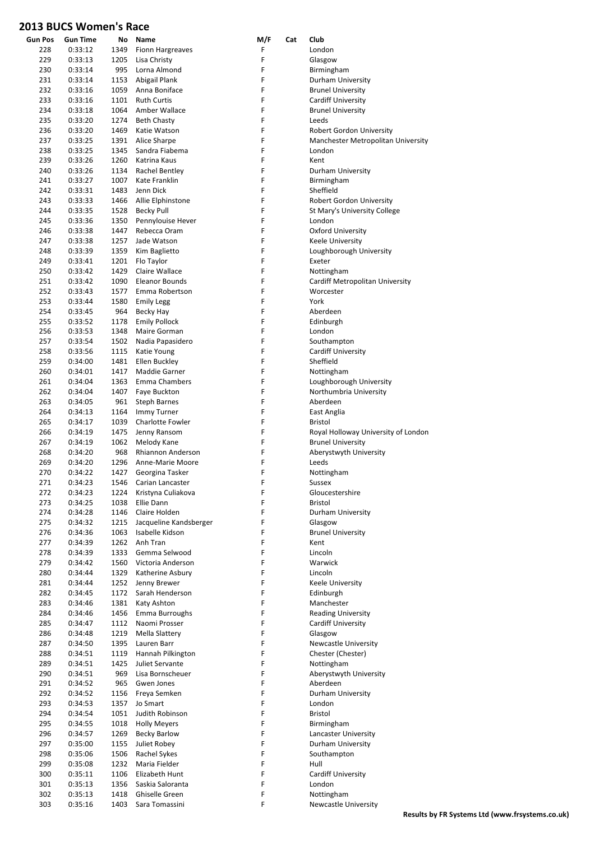| <b>Gun Pos</b> | Gun Time           | No           | Name                            | M/F    | Cat | Club                                                            |
|----------------|--------------------|--------------|---------------------------------|--------|-----|-----------------------------------------------------------------|
| 228            | 0:33:12            | 1349         | <b>Fionn Hargreaves</b>         | F      |     | London                                                          |
| 229            | 0:33:13            | 1205         | Lisa Christy                    | F      |     | Glasgow                                                         |
| 230            | 0:33:14            | 995          | Lorna Almond                    | F      |     | Birmingham                                                      |
| 231            | 0:33:14            | 1153         | Abigail Plank                   | F      |     | Durham University                                               |
| 232            | 0:33:16            | 1059         | Anna Boniface                   | F      |     | <b>Brunel University</b>                                        |
| 233            | 0:33:16            | 1101         | <b>Ruth Curtis</b>              | F      |     | Cardiff University                                              |
| 234            | 0:33:18            | 1064         | Amber Wallace                   | F      |     | <b>Brunel University</b>                                        |
| 235            | 0:33:20            | 1274         | <b>Beth Chasty</b>              | F      |     | Leeds                                                           |
| 236            | 0:33:20            | 1469         | Katie Watson                    | F      |     | Robert Gordon University                                        |
| 237            | 0:33:25            | 1391         | Alice Sharpe                    | F      |     | Manchester Metropolitan University                              |
| 238<br>239     | 0:33:25<br>0:33:26 | 1345<br>1260 | Sandra Fiabema<br>Katrina Kaus  | F<br>F |     | London<br>Kent                                                  |
| 240            | 0:33:26            | 1134         | Rachel Bentley                  | F      |     | Durham University                                               |
| 241            | 0:33:27            | 1007         | Kate Franklin                   | F      |     | Birmingham                                                      |
| 242            | 0:33:31            | 1483         | Jenn Dick                       | F      |     | Sheffield                                                       |
| 243            | 0:33:33            | 1466         | Allie Elphinstone               | F      |     | Robert Gordon University                                        |
| 244            | 0:33:35            | 1528         | <b>Becky Pull</b>               | F      |     | St Mary's University College                                    |
| 245            | 0:33:36            | 1350         | Pennylouise Hever               | F      |     | London                                                          |
| 246            | 0:33:38            | 1447         | Rebecca Oram                    | F      |     | <b>Oxford University</b>                                        |
| 247            | 0:33:38            | 1257         | Jade Watson                     | F      |     | Keele University                                                |
| 248            | 0:33:39            | 1359         | Kim Baglietto                   | F      |     | Loughborough University                                         |
| 249            | 0:33:41            | 1201         | Flo Taylor                      | F      |     | Exeter                                                          |
| 250            | 0:33:42            | 1429         | Claire Wallace                  | F      |     | Nottingham                                                      |
| 251            | 0:33:42            | 1090         | <b>Eleanor Bounds</b>           | F      |     | Cardiff Metropolitan University                                 |
| 252            | 0:33:43            | 1577         | Emma Robertson                  | F      |     | Worcester                                                       |
| 253            | 0:33:44            | 1580         | <b>Emily Legg</b>               | F      |     | York                                                            |
| 254            | 0:33:45            | 964          | Becky Hay                       | F      |     | Aberdeen                                                        |
| 255            | 0:33:52            | 1178         | <b>Emily Pollock</b>            | F      |     | Edinburgh                                                       |
| 256            | 0:33:53            | 1348         | Maire Gorman                    | F      |     | London                                                          |
| 257            | 0:33:54            | 1502         | Nadia Papasidero                | F      |     | Southampton                                                     |
| 258            | 0:33:56            | 1115         | Katie Young                     | F      |     | <b>Cardiff University</b>                                       |
| 259            | 0:34:00            | 1481         | Ellen Buckley                   | F      |     | Sheffield                                                       |
| 260            | 0:34:01            | 1417         | Maddie Garner                   | F      |     | Nottingham                                                      |
| 261            | 0:34:04            | 1363         | <b>Emma Chambers</b>            | F      |     | Loughborough University                                         |
| 262            | 0:34:04            | 1407         | Faye Buckton                    | F      |     | Northumbria University                                          |
| 263            | 0:34:05            | 961          | <b>Steph Barnes</b>             | F      |     | Aberdeen                                                        |
| 264            | 0:34:13            | 1164         | Immy Turner                     | F      |     | East Anglia                                                     |
| 265            | 0:34:17            | 1039<br>1475 | Charlotte Fowler                | F<br>F |     | <b>Bristol</b>                                                  |
| 266<br>267     | 0:34:19<br>0:34:19 | 1062         | Jenny Ransom<br>Melody Kane     | F      |     | Royal Holloway University of London<br><b>Brunel University</b> |
| 268            | 0:34:20            | 968          | <b>Rhiannon Anderson</b>        | F      |     | Aberystwyth University                                          |
| 269            | 0:34:20            | 1296         | Anne-Marie Moore                | F      |     | Leeds                                                           |
| 270            | 0:34:22            | 1427         | Georgina Tasker                 | F      |     | Nottingham                                                      |
| 271            | 0:34:23            | 1546         | Carian Lancaster                | F      |     | Sussex                                                          |
| 272            | 0:34:23            | 1224         | Kristyna Culiakova              | F      |     | Gloucestershire                                                 |
| 273            | 0:34:25            | 1038         | Ellie Dann                      | F      |     | Bristol                                                         |
| 274            | 0:34:28            | 1146         | Claire Holden                   | F      |     | Durham University                                               |
| 275            | 0:34:32            | 1215         | Jacqueline Kandsberger          | F      |     | Glasgow                                                         |
| 276            | 0:34:36            | 1063         | Isabelle Kidson                 | F      |     | <b>Brunel University</b>                                        |
| 277            | 0:34:39            | 1262         | Anh Tran                        | F      |     | Kent                                                            |
| 278            | 0:34:39            | 1333         | Gemma Selwood                   | F      |     | Lincoln                                                         |
| 279            | 0:34:42            | 1560         | Victoria Anderson               | F      |     | Warwick                                                         |
| 280            | 0:34:44            | 1329         | Katherine Asbury                | F      |     | Lincoln                                                         |
| 281            | 0:34:44            | 1252         | Jenny Brewer                    | F      |     | Keele University                                                |
| 282            | 0:34:45            | 1172         | Sarah Henderson                 | F      |     | Edinburgh                                                       |
| 283            | 0:34:46            | 1381         | Katy Ashton                     | F<br>F |     | Manchester                                                      |
| 284<br>285     | 0:34:46<br>0:34:47 | 1456<br>1112 | Emma Burroughs<br>Naomi Prosser | F      |     | <b>Reading University</b><br><b>Cardiff University</b>          |
| 286            | 0:34:48            | 1219         | Mella Slattery                  | F      |     | Glasgow                                                         |
| 287            | 0:34:50            | 1395         | Lauren Barr                     | F      |     | <b>Newcastle University</b>                                     |
| 288            | 0:34:51            | 1119         | Hannah Pilkington               | F      |     | Chester (Chester)                                               |
| 289            | 0:34:51            | 1425         | Juliet Servante                 | F      |     | Nottingham                                                      |
| 290            | 0:34:51            | 969          | Lisa Bornscheuer                | F      |     | Aberystwyth University                                          |
| 291            | 0:34:52            | 965          | Gwen Jones                      | F      |     | Aberdeen                                                        |
| 292            | 0:34:52            | 1156         | Freya Semken                    | F      |     | Durham University                                               |
| 293            | 0:34:53            | 1357         | Jo Smart                        | F      |     | London                                                          |
| 294            | 0:34:54            | 1051         | Judith Robinson                 | F      |     | Bristol                                                         |
| 295            | 0:34:55            | 1018         | <b>Holly Meyers</b>             | F      |     | Birmingham                                                      |
| 296            | 0:34:57            | 1269         | <b>Becky Barlow</b>             | F      |     | Lancaster University                                            |
| 297            | 0:35:00            | 1155         | Juliet Robey                    | F      |     | Durham University                                               |
| 298            | 0:35:06            | 1506         | Rachel Sykes                    | F      |     | Southampton                                                     |
| 299            | 0:35:08            | 1232         | Maria Fielder                   | F      |     | Hull                                                            |
| 300            | 0:35:11            | 1106         | Elizabeth Hunt                  | F      |     | Cardiff University                                              |
| 301            | 0:35:13            | 1356         | Saskia Saloranta                | F      |     | London                                                          |
| 302            | 0:35:13            | 1418         | Ghiselle Green                  | F      |     | Nottingham                                                      |
| 303            | 0:35:16            | 1403         | Sara Tomassini                  | F      |     | <b>Newcastle University</b>                                     |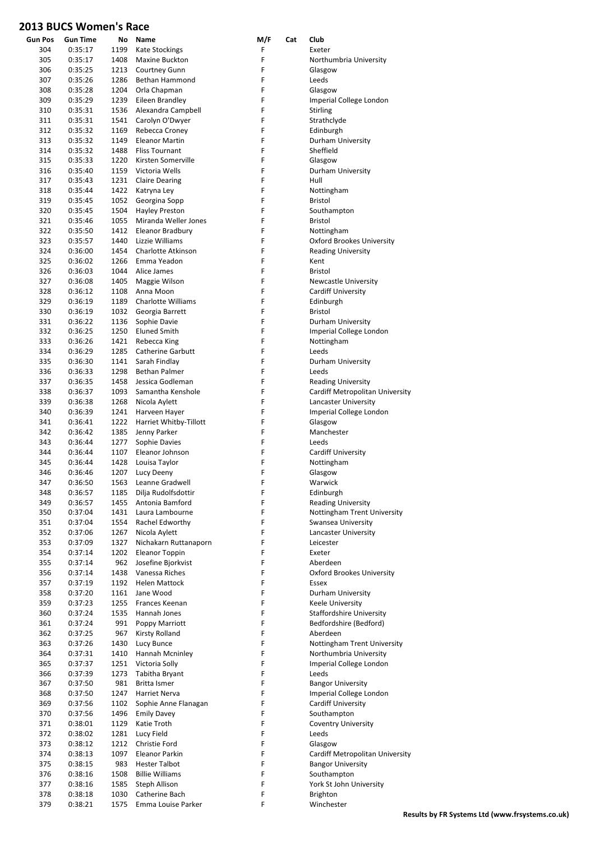| <b>Gun Pos</b> | <b>Gun Time</b> | No   | Name                      | M/F | Cat | Club                             |
|----------------|-----------------|------|---------------------------|-----|-----|----------------------------------|
| 304            | 0:35:17         | 1199 | <b>Kate Stockings</b>     | F   |     | Exeter                           |
| 305            | 0:35:17         | 1408 | Maxine Buckton            | F   |     | Northumbria University           |
| 306            | 0:35:25         | 1213 | Courtney Gunn             | F   |     | Glasgow                          |
| 307            | 0:35:26         | 1286 | Bethan Hammond            | F   |     | Leeds                            |
| 308            | 0:35:28         | 1204 | Orla Chapman              | F   |     | Glasgow                          |
| 309            | 0:35:29         | 1239 | Eileen Brandley           | F   |     | Imperial College London          |
| 310            | 0:35:31         | 1536 | Alexandra Campbell        | F   |     | <b>Stirling</b>                  |
| 311            | 0:35:31         | 1541 | Carolyn O'Dwyer           | F   |     | Strathclyde                      |
| 312            | 0:35:32         | 1169 | Rebecca Croney            | F   |     | Edinburgh                        |
| 313            | 0:35:32         | 1149 | <b>Eleanor Martin</b>     | F   |     | Durham University                |
| 314            | 0:35:32         | 1488 | <b>Fliss Tournant</b>     | F   |     | Sheffield                        |
| 315            | 0:35:33         | 1220 | Kirsten Somerville        | F   |     | Glasgow                          |
| 316            | 0:35:40         | 1159 | Victoria Wells            | F   |     | Durham University                |
| 317            | 0:35:43         | 1231 | <b>Claire Dearing</b>     | F   |     | Hull                             |
| 318            | 0:35:44         | 1422 | Katryna Ley               | F   |     | Nottingham                       |
| 319            | 0:35:45         | 1052 | Georgina Sopp             | F   |     | <b>Bristol</b>                   |
| 320            | 0:35:45         | 1504 | <b>Hayley Preston</b>     | F   |     | Southampton                      |
| 321            | 0:35:46         | 1055 | Miranda Weller Jones      | F   |     | <b>Bristol</b>                   |
| 322            | 0:35:50         | 1412 | Eleanor Bradbury          | F   |     | Nottingham                       |
| 323            | 0:35:57         | 1440 | Lizzie Williams           | F   |     | <b>Oxford Brookes University</b> |
| 324            | 0:36:00         | 1454 | Charlotte Atkinson        | F   |     | <b>Reading University</b>        |
| 325            | 0:36:02         | 1266 | Emma Yeadon               | F   |     | Kent                             |
| 326            | 0:36:03         | 1044 | Alice James               | F   |     | <b>Bristol</b>                   |
| 327            | 0:36:08         | 1405 | Maggie Wilson             | F   |     | <b>Newcastle University</b>      |
| 328            | 0:36:12         | 1108 | Anna Moon                 | F   |     | Cardiff University               |
| 329            | 0:36:19         | 1189 | <b>Charlotte Williams</b> | F   |     | Edinburgh                        |
| 330            | 0:36:19         | 1032 | Georgia Barrett           | F   |     | <b>Bristol</b>                   |
| 331            | 0:36:22         | 1136 | Sophie Davie              | F   |     | Durham University                |
| 332            | 0:36:25         | 1250 | <b>Eluned Smith</b>       | F   |     | Imperial College London          |
| 333            | 0:36:26         | 1421 | Rebecca King              | F   |     | Nottingham                       |
| 334            | 0:36:29         | 1285 | <b>Catherine Garbutt</b>  | F   |     | Leeds                            |
| 335            | 0:36:30         | 1141 | Sarah Findlay             | F   |     | Durham University                |
| 336            | 0:36:33         | 1298 | Bethan Palmer             | F   |     | Leeds                            |
| 337            | 0:36:35         | 1458 | Jessica Godleman          | F   |     | <b>Reading University</b>        |
| 338            | 0:36:37         | 1093 | Samantha Kenshole         | F   |     | Cardiff Metropolitan University  |
| 339            | 0:36:38         | 1268 | Nicola Aylett             | F   |     | Lancaster University             |
| 340            | 0:36:39         | 1241 | Harveen Hayer             | F   |     | Imperial College London          |
| 341            | 0:36:41         | 1222 | Harriet Whitby-Tillott    | F   |     | Glasgow                          |
| 342            | 0:36:42         | 1385 | Jenny Parker              | F   |     | Manchester                       |
| 343            | 0:36:44         | 1277 | Sophie Davies             | F   |     | Leeds                            |
| 344            | 0:36:44         | 1107 | Eleanor Johnson           | F   |     | Cardiff University               |
| 345            | 0:36:44         | 1428 | Louisa Taylor             | F   |     |                                  |
|                |                 |      |                           | F   |     | Nottingham                       |
| 346            | 0:36:46         | 1207 | Lucy Deeny                |     |     | Glasgow                          |
| 347            | 0:36:50         | 1563 | Leanne Gradwell           | F   |     | Warwick                          |
| 348            | 0:36:57         | 1185 | Dilja Rudolfsdottir       | F   |     | Edinburgh                        |
| 349            | 0:36:57         | 1455 | Antonia Bamford           | F   |     | <b>Reading University</b>        |
| 350            | 0:37:04         | 1431 | Laura Lambourne           | F   |     | Nottingham Trent University      |
| 351            | 0:37:04         | 1554 | Rachel Edworthy           | F   |     | Swansea University               |
| 352            | 0:37:06         | 1267 | Nicola Aylett             | F   |     | Lancaster University             |
| 353            | 0:37:09         | 1327 | Nichakarn Ruttanaporn     | F   |     | Leicester                        |
| 354            | 0:37:14         | 1202 | <b>Eleanor Toppin</b>     | F   |     | Exeter                           |
| 355            | 0:37:14         | 962  | Josefine Bjorkvist        | F   |     | Aberdeen                         |
| 356            | 0:37:14         | 1438 | Vanessa Riches            | F   |     | <b>Oxford Brookes University</b> |
| 357            | 0:37:19         | 1192 | <b>Helen Mattock</b>      | F   |     | Essex                            |
| 358            | 0:37:20         | 1161 | Jane Wood                 | F   |     | Durham University                |
| 359            | 0:37:23         | 1255 | Frances Keenan            | F   |     | Keele University                 |
| 360            | 0:37:24         | 1535 | Hannah Jones              | F   |     | <b>Staffordshire University</b>  |
| 361            | 0:37:24         | 991  | Poppy Marriott            | F   |     | Bedfordshire (Bedford)           |
| 362            | 0:37:25         | 967  | Kirsty Rolland            | F   |     | Aberdeen                         |
| 363            | 0:37:26         | 1430 | Lucy Bunce                | F   |     | Nottingham Trent University      |
| 364            | 0:37:31         | 1410 | Hannah Mcninley           | F   |     | Northumbria University           |
| 365            | 0:37:37         | 1251 | Victoria Solly            | F   |     | Imperial College London          |
| 366            | 0:37:39         | 1273 | Tabitha Bryant            | F   |     | Leeds                            |
| 367            | 0:37:50         | 981  | Britta Ismer              | F   |     | <b>Bangor University</b>         |
| 368            | 0:37:50         | 1247 | Harriet Nerva             | F   |     | Imperial College London          |
| 369            | 0:37:56         | 1102 | Sophie Anne Flanagan      | F   |     | <b>Cardiff University</b>        |
| 370            | 0:37:56         | 1496 | <b>Emily Davey</b>        | F   |     | Southampton                      |
| 371            | 0:38:01         | 1129 | Katie Troth               | F   |     | <b>Coventry University</b>       |
| 372            | 0:38:02         | 1281 | Lucy Field                | F   |     | Leeds                            |
| 373            | 0:38:12         | 1212 | Christie Ford             | F   |     | Glasgow                          |
| 374            | 0:38:13         | 1097 | Eleanor Parkin            | F   |     | Cardiff Metropolitan University  |
| 375            | 0:38:15         | 983  | <b>Hester Talbot</b>      | F   |     | <b>Bangor University</b>         |
| 376            | 0:38:16         | 1508 | <b>Billie Williams</b>    | F   |     | Southampton                      |
| 377            | 0:38:16         | 1585 | Steph Allison             | F   |     | York St John University          |
| 378            | 0:38:18         | 1030 | Catherine Bach            | F   |     | Brighton                         |
| 379            | 0:38:21         | 1575 | Emma Louise Parker        | F   |     | Winchester                       |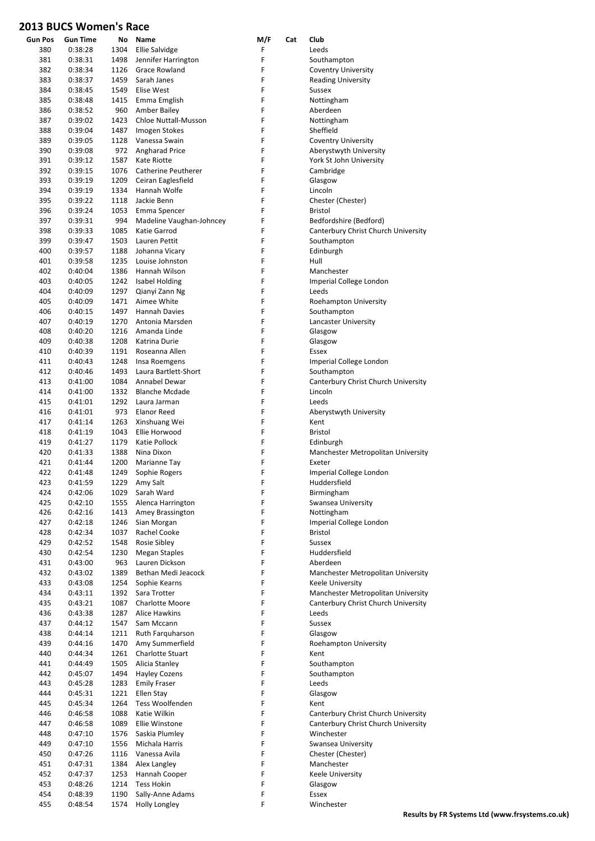| <b>Gun Pos</b> | <b>Gun Time</b>    | No           | Name                                  | M/F    | Cat | Club                                |
|----------------|--------------------|--------------|---------------------------------------|--------|-----|-------------------------------------|
| 380            | 0:38:28            | 1304         | <b>Ellie Salvidge</b>                 | F      |     | Leeds                               |
| 381            | 0:38:31            | 1498         | Jennifer Harrington                   | F      |     | Southampton                         |
| 382            | 0:38:34            | 1126         | <b>Grace Rowland</b>                  | F      |     | <b>Coventry University</b>          |
| 383            | 0:38:37            | 1459         | Sarah Janes                           | F      |     | <b>Reading University</b>           |
| 384            | 0:38:45            | 1549         | Elise West                            | F      |     | Sussex                              |
| 385            | 0:38:48            | 1415         | Emma Emglish                          | F      |     | Nottingham                          |
| 386            | 0:38:52            | 960          | Amber Bailey                          | F      |     | Aberdeen                            |
| 387            | 0:39:02            | 1423         | Chloe Nuttall-Musson                  | F      |     | Nottingham                          |
| 388            | 0:39:04            | 1487         | <b>Imogen Stokes</b>                  | F      |     | Sheffield                           |
| 389            | 0:39:05            | 1128         | Vanessa Swain                         | F      |     | <b>Coventry University</b>          |
| 390            | 0:39:08            | 972          | Angharad Price                        | F      |     | Aberystwyth University              |
| 391            | 0:39:12            | 1587         | Kate Riotte                           | F<br>F |     | York St John University             |
| 392<br>393     | 0:39:15            | 1076         | Catherine Peutherer                   | F      |     | Cambridge                           |
| 394            | 0:39:19<br>0:39:19 | 1209<br>1334 | Ceiran Eaglesfield<br>Hannah Wolfe    | F      |     | Glasgow<br>Lincoln                  |
| 395            | 0:39:22            | 1118         | Jackie Benn                           | F      |     | Chester (Chester)                   |
| 396            | 0:39:24            | 1053         | Emma Spencer                          | F      |     | Bristol                             |
| 397            | 0:39:31            | 994          | Madeline Vaughan-Johncey              | F      |     | Bedfordshire (Bedford)              |
| 398            | 0:39:33            | 1085         | Katie Garrod                          | F      |     | Canterbury Christ Church University |
| 399            | 0:39:47            | 1503         | Lauren Pettit                         | F      |     | Southampton                         |
| 400            | 0:39:57            | 1188         | Johanna Vicary                        | F      |     | Edinburgh                           |
| 401            | 0:39:58            | 1235         | Louise Johnston                       | F      |     | Hull                                |
| 402            | 0:40:04            | 1386         | Hannah Wilson                         | F      |     | Manchester                          |
| 403            | 0:40:05            | 1242         | <b>Isabel Holding</b>                 | F      |     | Imperial College London             |
| 404            | 0:40:09            | 1297         | Qianyi Zann Ng                        | F      |     | Leeds                               |
| 405            | 0:40:09            | 1471         | Aimee White                           | F      |     | Roehampton University               |
| 406            | 0:40:15            | 1497         | <b>Hannah Davies</b>                  | F      |     | Southampton                         |
| 407            | 0:40:19            | 1270         | Antonia Marsden                       | F      |     | Lancaster University                |
| 408            | 0:40:20            | 1216         | Amanda Linde                          | F      |     | Glasgow                             |
| 409            | 0:40:38            | 1208         | Katrina Durie                         | F      |     | Glasgow                             |
| 410            | 0:40:39            | 1191         | Roseanna Allen                        | F      |     | <b>Essex</b>                        |
| 411            | 0:40:43            | 1248         | Insa Roemgens                         | F      |     | Imperial College London             |
| 412            | 0:40:46            | 1493         | Laura Bartlett-Short                  | F      |     | Southampton                         |
| 413            | 0:41:00            | 1084         | Annabel Dewar                         | F      |     | Canterbury Christ Church University |
| 414            | 0:41:00            | 1332         | <b>Blanche Mcdade</b>                 | F      |     | Lincoln                             |
| 415            | 0:41:01            | 1292         | Laura Jarman                          | F      |     | Leeds                               |
| 416            | 0:41:01            | 973          | Elanor Reed                           | F      |     | Aberystwyth University              |
| 417            | 0:41:14            | 1263         | Xinshuang Wei                         | F      |     | Kent                                |
| 418            | 0:41:19            | 1043         | Ellie Horwood                         | F      |     | <b>Bristol</b>                      |
| 419            | 0:41:27            | 1179         | Katie Pollock                         | F      |     | Edinburgh                           |
| 420            | 0:41:33            | 1388         | Nina Dixon                            | F      |     | Manchester Metropolitan University  |
| 421            | 0:41:44            | 1200         | Marianne Tay                          | F      |     | Exeter                              |
| 422            | 0:41:48            | 1249         | Sophie Rogers                         | F      |     | Imperial College London             |
| 423            | 0:41:59            | 1229         | Amy Salt                              | F<br>F |     | Huddersfield                        |
| 424<br>425     | 0:42:06<br>0:42:10 | 1029<br>1555 | Sarah Ward<br>Alenca Harrington       | F      |     | Birmingham<br>Swansea University    |
| 426            | 0:42:16            | 1413         | Amey Brassington                      | F      |     | Nottingham                          |
| 427            | 0:42:18            | 1246         | Sian Morgan                           | F      |     | Imperial College London             |
| 428            | 0:42:34            | 1037         | Rachel Cooke                          | F      |     | Bristol                             |
| 429            | 0:42:52            | 1548         | Rosie Sibley                          | F      |     | <b>Sussex</b>                       |
| 430            | 0:42:54            | 1230         | <b>Megan Staples</b>                  | F      |     | Huddersfield                        |
| 431            | 0:43:00            | 963          | Lauren Dickson                        | F      |     | Aberdeen                            |
| 432            | 0:43:02            | 1389         | Bethan Medi Jeacock                   | F      |     | Manchester Metropolitan University  |
| 433            | 0:43:08            | 1254         | Sophie Kearns                         | F      |     | Keele University                    |
| 434            | 0:43:11            | 1392         | Sara Trotter                          | F      |     | Manchester Metropolitan University  |
| 435            | 0:43:21            | 1087         | Charlotte Moore                       | F      |     | Canterbury Christ Church University |
| 436            | 0:43:38            | 1287         | <b>Alice Hawkins</b>                  | F      |     | Leeds                               |
| 437            | 0:44:12            | 1547         | Sam Mccann                            | F      |     | Sussex                              |
| 438            | 0:44:14            | 1211         | Ruth Farguharson                      | F      |     | Glasgow                             |
| 439            | 0:44:16            | 1470         | Amy Summerfield                       | F      |     | Roehampton University               |
| 440            | 0:44:34            | 1261         | Charlotte Stuart                      | F      |     | Kent                                |
| 441            | 0:44:49            | 1505         | Alicia Stanley                        | F      |     | Southampton                         |
| 442            | 0:45:07            | 1494         | <b>Hayley Cozens</b>                  | F      |     | Southampton                         |
| 443            | 0:45:28            | 1283         | <b>Emily Fraser</b>                   | F      |     | Leeds                               |
| 444            | 0:45:31            | 1221         | Ellen Stay                            | F      |     | Glasgow                             |
| 445            | 0:45:34            | 1264         | Tess Woolfenden                       | F      |     | Kent                                |
| 446            | 0:46:58            | 1088         | Katie Wilkin                          | F      |     | Canterbury Christ Church University |
| 447            | 0:46:58            | 1089         | Ellie Winstone                        | F      |     | Canterbury Christ Church University |
| 448            | 0:47:10            | 1576         | Saskia Plumley                        | F      |     | Winchester                          |
| 449            | 0:47:10            | 1556         | Michala Harris                        | F      |     | Swansea University                  |
| 450            | 0:47:26            | 1116         | Vanessa Avila                         | F      |     | Chester (Chester)                   |
| 451            | 0:47:31            | 1384         | Alex Langley                          | F      |     | Manchester                          |
| 452            | 0:47:37            | 1253         | Hannah Cooper                         | F<br>F |     | Keele University                    |
| 453<br>454     | 0:48:26<br>0:48:39 | 1214<br>1190 | <b>Tess Hokin</b><br>Sally-Anne Adams | F      |     | Glasgow<br>Essex                    |
| 455            | 0:48:54            | 1574         | <b>Holly Longley</b>                  | F      |     | Winchester                          |
|                |                    |              |                                       |        |     |                                     |